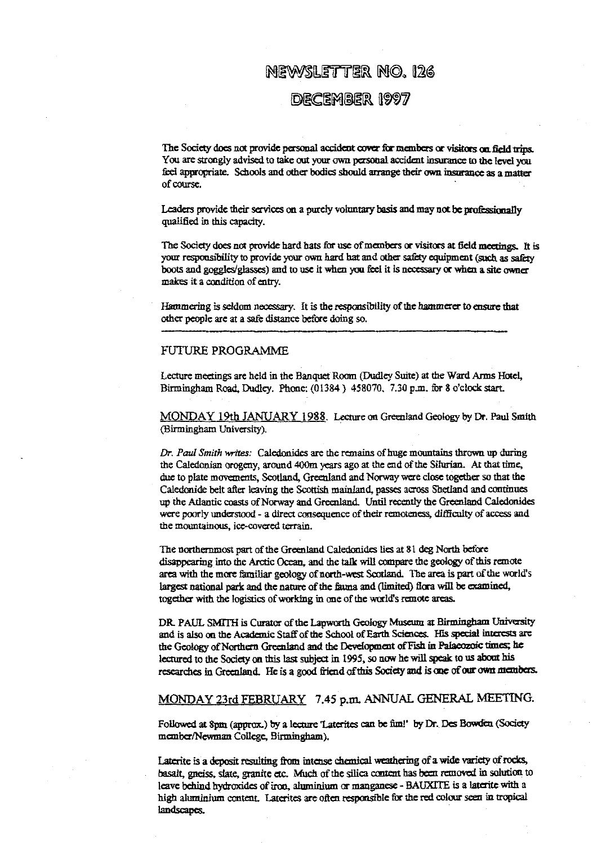# NEWSLETTER NO. 126

# DECEMBER 1997

The Society does not provide personal accident cover for members or visitors on field trips. You are strongly advised to take out your own personal accident insurance to the level you feel appropriate. Schools and other bodies should arrange their own insorance as a matter of course.

Leaders provide their services on a purely voluntary basis and may not be professionally qualified in this capacity.

The Society does not provide hard hats for use of members or visitors at field meetings. It is your responsibility to provide your own hard hat and other safety equipment (such as *safety* boots and goggles/glasses) and to use it when you feel it is necessary or when a site owner makes it a condition of entry.

Hammering is seldom necessary. It is the responsibility of the hammerer to ensure that other people are at a safe distance before doing so.

### FUTURE PROGRAMME

Lecture meetings are held in the Banquet Room (Dudley *Suite) at the Ward* Arms Hotel, Birmingham Road, Dudley. Phone: (01384) 458070. 7.30 p.m. for 8 o'clock start.

MONDAY 19th JANUARY 1988. Lecture an Greenland Geology by Dr. Paul Smith (Birmingham University).

*Dr. Paul Smith writes:* Caledonides are the remains of huge mountains thrown up during the Caledonian orogeny, around 400m years ago at the end of the Silurian. At that time, due to plate movements, Scotland, Greenland and Norway were close together so that the Caledonide belt after leaving the Scottish mainland, passes across Shetland and continues up the Atlantic coasts of Norway and Greenland. Until recently the Greenland Caledonides were poorly understood - a direct consequence of their remoteness, difficulty of access and the mountainous, ice-covered terrain.

The northernmost *part of the* Greenland Caledonides ties at 81 deg North before *disappearing* into the Arctic Ocean, and the talk will compare the geology of this remote area with the more familiar geology of north-west Scotland. The area is part of the world's largest national park and the nature of the fauna and (limited) flora will be examined, together with the logistics of working in one of the waid's remote areas.

DR- PAUL SMITH is Curator of the Lapworth Geology Museum at Birmingham University and is also on the Academic Staff of the School of Earth Sciences. His special interests are the Geology of Northern Greenland and the Development of Fish in Palaeozoic times; he lectured to the Society on this last subject in 1995, so now he will speak to us about his researches in Greenland. He is a good friend of this Society and is one of our own members.

## MONDAY 23rd FEBRUARY 7.45 p.m. ANNUAL GENERAL MEETING.

Followed at Spin (approx.) by a lecture 'Laterites can be fini!' by Dr. Des Bowden (Society member/Newman College, Birmingham).

Laterite is a deposit resulting from intense chemical weathering of a wide variety of rocks, basalt, gneiss, slate, granite *etc. Much of the* silica content has been removed in solution to leave behind hydroxides of iron, aluminium or manganese - BAUXITE is a laterite with a high aluminium content. Laterites are often responsible for the red colour seen in tropical landscapes.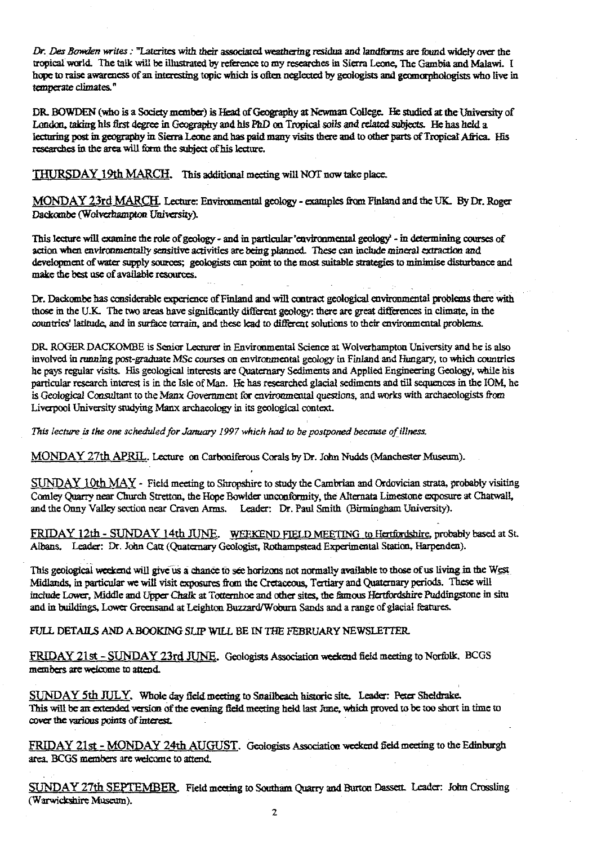*Dr\_ . Des Bowden write:* "Laterites with their associated weathering residua and landftrms are found widely *over* the tropical world. The talk will be illustrated by reference to my researches in Sierra Leone, The Gambia and Malawi. I hope to raise awareness of an interesting topic which is often neglected by geologists and geomorphologists who live in temperate climates."

DR. BOWDEN (who is a Society member) is Head of Geography at Newman College. He studied at the University of London, taking his &rst degree in *Geography and his PhD* on *Tropical sails and* related subjects. He has held a lecturing past in geography in Sierra Leone and has paid many visits there and to other parts of Tropical Africa. His researches in the area will form the subject of his lecture.

THURSDAY 19th MARCH. This additional meeting will NOT now take place.

MONDAY 23rd MARCH. Lecture: Environmental geology - examples from Finland and the UK. By Dr. Roger Dackombe (Wolverhampton University).

This lecture will examine the role of geology - and in particular 'environmental geology' - in determining courses of action when environmentally sensitive activities are being planned. These can include mineral extraction and development of water supply sources; geologists can point to the most suitable strategies to minimise disturbance an action when environmentally sensitive a<br>development of water supply sources; g<br>make the best use of available resources.

Dr. Dackombe has considerable experience of Finland and will contract geological environmental problems there with those in the U.K The two areas have significantly different geology: there are great differences in climate, in the countries' latitude, and in surface terrain, and these lead to different solutions to their enviromaental problems.

DR ROGER DACKOMBE is Senior Lecturer in Environmental Science at Wolverhampton University and he is also involved in running post-graduate MSc courses on environmental geology in Finland and Hungary, to which countries he pays regular visits. Ills geological interests are Quaternary Sediments and Applied Engineering Geology, while his particular research interest is in the Isle of Man. He has researched glacial sediments attd till sequences in *the IOM, he* is Geological Consultant to the Manx Government for environmental questions, and works with archaeologists from Liverpool University studying Manx archaeology in its geological context.

*This lecture is the one scheduled for Jamiary 1997 which had to be postponed because of illness*

MONDAY 27th APRIL. Lecture on Carboniferous Corals by Dr. John Nudds (Manchester Museum).

SUNDAY I Oth MAY - Field meeting to Shropshire to study the Camb<sup>r</sup> ian and Ordovician strata, probably visiting *Comley Quarry near Church Stretton, the* Hope Bowlder unconformity, the Alternata Limestone exposure at Chatwall, and the Onny Valley section near Craven Arms. Leader: Dr. Paul Smith (Birmingham University).

FRIDAY 12th - SUNDAY 14th JUNE. WEEKEND FIELD MEETING to Hertfordshire, probably based at St. Albans. Leader: Dr. John Catt (Quaternary Geologist, Rothampstead Experimental Station, Harpenden).

This geological **weekend will give us a** chance to see horizons not normally available to those of us living in the West. Midlands, in particular we will visit exposures from the Cretaceous, Tertiary and Quaternary periods. These will include Lower, Middle and Upper Chalk at Totternhoe and other sites, the famous Hertfordshire Puddingstone in situ and in buildings, Lower Greensand at Leighton **Buzzard/Woburn Sands** and a range of glacial features.

FULL DETAILS AND A BOOKING SLIP WILL BE IN THE FEBRUARY NEWSLETTER

FRIDAY 21st - SUNDAY 23rd JUNE. Geologists Association weekend field meeting to Norfolk. BCGS members are welcome to attend.

SUNDAY 5th JULY. Whole day field meeting to Snailbeach historic site. Leader: Peter Sheldrake. This will be an extended version of the evening field meeting held last June, which proved to be too short in time to cover the various points of interest.

FRIDAY 21st - MONDAY 24th AUGUST. Geologists Association weekend field meeting to the Edinburgh area. BCGS members are welcome to attend.

SUNDAY 27th SEPTEMBER. Field meeting to Southam Quarry and Burton Dassett. Leader: John Crossling (Warwickshire Museum).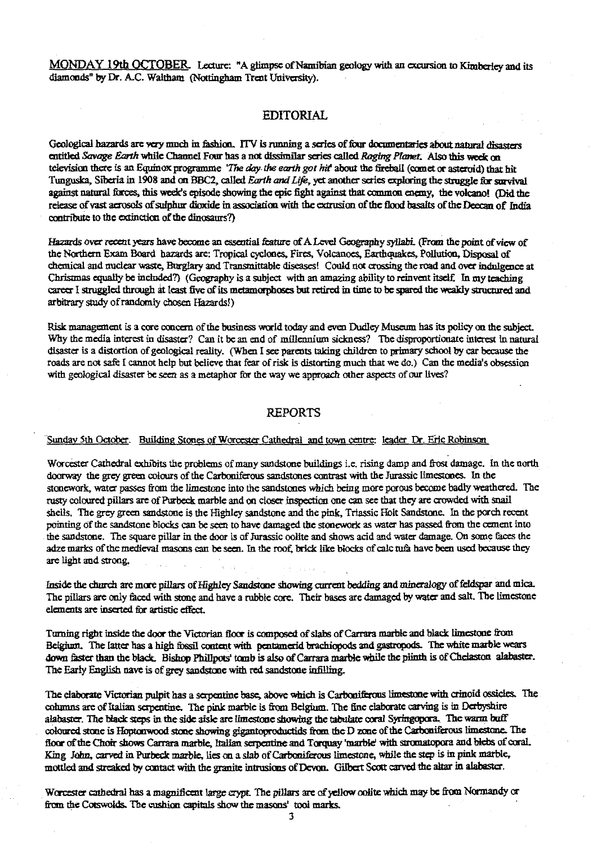MONDAY 19th OCTOBER. Lecture: "A glimpse of Namibian geology with an excursion to Kimberley and its diamonds" by Dr. A.C. Waltham (Nottingham Trent University).

### **EDITORIAL**

Geological hazards are very much in fashion. ITV is running a series of four documentaries about natural disasters *entitled Savage Earth white Channel Four has a not mar series called Raging Ptcmet. Also this weds rn* television there is an Equinox programme *'The day. the earth got hit about the* fireball (comet or asteroid) that hit. Tunguska, Siberia in 1908 and on BBC2, called *Earth and Life, yet* another series exploring the struggle for survival against natural forces, this week's episode showing the epic fight against that common enemy, the volcano! (Did the release of vast aerosols of suinhur dioxide in association with the extrusion of the flood basalts of the Deccan of India contribute to the extinction of the dinosaurs?)

Hazards over recent years have become an essential feature of A Level Geography syllabi. (From the point of view of the Northern Exam Board hazards are: Tropical cyclones, Fires, Volcanoes, Earthquakes, Pollution, Disposal of *chemical* and nuclear *waste,* Burglary and Transmittable diseases! Could not crossing the road and over indulgence at Christmas equally be included?) (Geography is a subject with an amazing ability to reinvent itself In my teaching career I struggled through at least five of its metamorphoses but retired in time to be spared the weakly structured and arbitrary study ofrandomly chosen Hazards!)

Risk management is a core concern of the business world today and even Dudley Museum has its policy on the subject. Why the media interest in disaster? Can it be an end of millennium sickness? The disproportionate interest in natural disaster is a distortion of geological reality. (When I see parents taking children to primary school by car because the roads are not safe I cannot help but believe that fear of risk is distorting much that we do.) Can the media's obsession with geological disaster be seen as a metaphor for the way we approach other aspects of our lives?

## REPORTS

### -Sunday 5th October. Building Stones of Worcester Cathedral and town centre: leader Dr. Eric Robinson

Worcester Cathedral exhibits the problems of many sandstone buildings i.e. rising damp and frost damage. In the north doorway the grey green colours of the Carboniferous sandstones contrast with the Jurassic limestones. In the stonework, water passes from the limestone into the sandstones which being more porous become badly weathered. The rusty coloured pillars are of Purbeck marble and on closer inspection one can we that they are crowded with snail shells. The grey green sandstone is the Higbley sandstone and the pink, Triassic bit Sandstone. In the porch recent pointing of the sandstone blocks can be seen to have damaged the stonework as water has passed from the cement into the sandstone. The square pillar in the door is of Jurassic oolite and shows acid and water damage. On some faces the adze marks of the medieval masons can be seen. In the roof, brick like blocks of caic tufa have been used because they are light and strong,

Inside the church are more pillars of Highley Sandstone showing current bedding and mineralogy of feldspar and mica. The pillars are only faced with stone and have a rubble core. Their bases are damaged by water and salt. The limestone elements are inserted for artistic effect.

Turning right inside the door the Victorian floor is composed of slabs of Carrara marble and black limestone from Belgium. The latter has a high fossil content with pentamerid brachiopods and gastropods. The white marble wears down faster than the black. Bishop Phillpots' tomb is also of Carrara marble while the plinth is of Chelaston alabaster. The Early English nave is of grey sandstone with red sandstone infilling.

The elaborate Victorian pulpit has a serpentine base, above which is Carboniferous limestone with crinoid ossicles. The columns are of Italian serpentine. The pink marble is from Belgium. The fine elaborate carving is in Derbyshire alabaster. The black steps in the side aisle are limestone showing the tabulate coral Syringopora. The warm buff coloured stone is Hoptonwood stone showing gigantoproductids from the D zone of the Carboniferous limestone. The floor of the Choir shows Carrara marble, Italian serpentine and Torquay 'marble' with stromatopora and blebs of coral. King John, carved in Purbeck marble, lies on a slab of Carboniferous limestone, while the step is in pink marble, mottled and streaked by contact with the granite intrusions of Devon. Gilbert Scott carved the altar in alabaster.

Worcester cathedral has a magnificent large crypt. The pillars are of yellow oolite which may be from Normandy or from the Cotswolds. The cushion capitals show the masons' tool marks.

3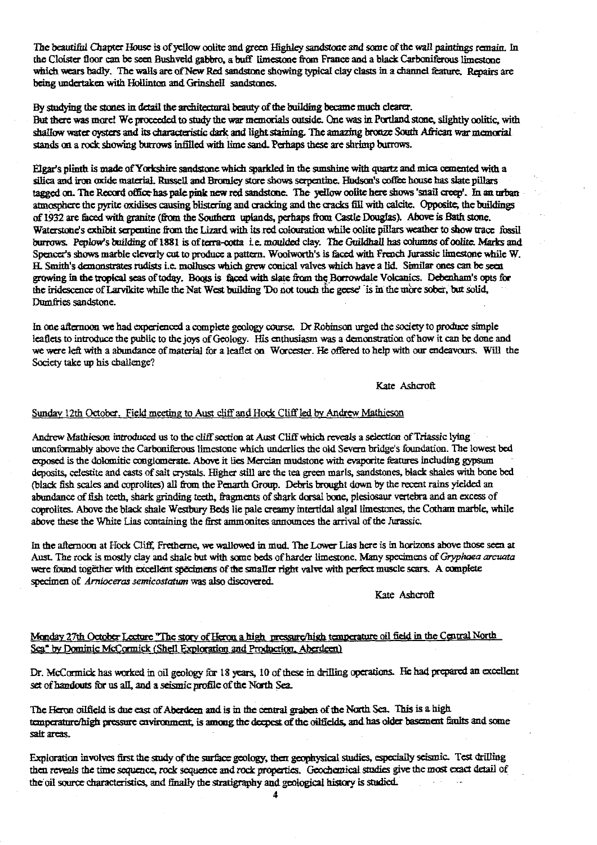The beautiful Chapter House is of yellow oolite and green Highley sandstone and some of the wall paintings remain. In the Cloister floor can be seen Bushveld gabbro, a buff limestone from France and a black Carboniferous limestone which wears badly. The walls are of New Red sandstone showing typical clay clasts in a channel feature. Repairs are being undertaken with Hollinton and Grinshell sandstones.

By studying the stones in detail the architectural beauty of the building became much clearer. But there was morel We proceeded to study the war memorials outside. One was in Portland stone, slightly colitic, with shallow water oysters and its characteristic dark and light staining. The amazing bronze South African war memorial stands on a rock showing burrows mfilled with lime sand. Perhaps these are shrimp burrows.

Elgat's pl<sup>i</sup> nth is made of Yorkshire sandstone which sparkled in the sunshine with **quartz** an**d** mica cemented with a silica and iron oxide material. Russell and Bromley store shows serpentine. Hudson's coffee house has slate pillars tagged on. The Record office has pale pink new red sandstone. The yellow oolite here shows 'suail creep'. In an urban atmosphere the pyrite oxidises causing blistering and mo**ck**ing and the cracks fill with calcite. 4ppesite; the buildings of 1932 are fad with granite (from the Southern uplands, perhaps from Castle Douglas). Above is Bath stone. Waterstone's exhibit serpentine from the Lizard with its red colouration while oolite pillars weather to show trace fossil burrows. Peplow's building of 1881 is of terra-cotta i.e. moulded clay. The Guildhall has columns of oolite. Marks and Spencer's shows marble cleverly cut to produce a pattern. Woolworth's is faced with French Jurassic limestone while W H. Smith's demonstrates rudists i.e. molluscs which grew conical valves which have a lid. Similar ones can be seen growing in the tropical seas of today. Boots is faced with slate from the Borrowdale Volcanics. Debenham's opts for the iridescence of Larvikite while the Nat West building 'Do not touch the geese' is in the more sober, but solid, Dumfries sandstone.

**In** one afternoon we had experienced a complete geolog<sup>y</sup> course. Dr Robinson urged the society to produce simple leaflets to introduce the public to the joys of Geology. His enthusiasm was a demonstration of haw it can be done and we were left with a abundance of material for a leaflet on Worcester. He offered to help with our endeavours. Will the Society take up his challenge?

Kate Ashcroft

# Sunday 12th October. Field meeting to Aust cliff and Hock Cliff led by Andrew Mathieson

Andrew Mathieson introduced us to the cliff section at Aust Cliff which reveals a selection of Triassic lying unccmformably above **the** Carboniferous limestone which underlies the old Severn bridge's foundation\_ The lowest bed exposed is the dolomitic conglomerate. Above it lies Mercian mudstone with evaporite features including gypsum **deposits,** celestite and casts of salt crystals. Iffier still are the tea green marls, sandstones, black shales with bone bed (black fish scales and coprolites) all from the Penarth Group. Debris brought down by the recent rains yielded an abundance of fish teeth, shark grinding teeth, fragments of shark dorsal bone, plesiosaur vertebra and an excess of coprolites. Above **the** black sh**al**e Westbury Beds lie pale creamy inte**rt**idal algal limestones, the Cothaai marble, while above these the White Lias containing the first ammonites announces the arrival of the Jurassic.

**In** the afternoon at Hods **Cliff.** Fretherne, we wallowed in mud. The Lower Lias here is **in** horizons above those seen at Aust. **The** rock is mostly clay and shale but with some beds of harder **limestone.** Many specimens of *Gryphaea arcuata* were found together with excellent specimens of the smaller right valve with perfect muscle scars. A complete specimen of *Arnioceras semicostatum* was also discovered.

#### Kate Ashcroft

## Monday 27th October Lecture "The story of Heron a high pressure/high temperature oil field in the Central North Sea" by Dominic McCormick (Shell Exalacation and **Production.** Aberdeen

Dr. McCormick has wvrked in oil geology for 18 years, 10 of these in drilling operations. He had prepared an excellent set of handouts for us all, and a seismic profile of the North Sea.

**The** Heron oilfield is due east of Aberdeen and is in the central graben of the North Sea. This is a high temperature/high pressure environment, is among the deepest of the oilfields, and has older basement faults and some salt areas.

Exploration involves first the study of the surface geology, then geophysical studies, especially seismic. Test drilling Exploration involves first the study of the surface geology, then geophysical studies, especially seismic<br>then reveals the time sequence, rock sequence and rock properties. Geochemical studies give the most then reveals the time sequence, rock sequence and rock properties. Geochemical studies give the most exact detail of the oil source characteristics, and finally the stratigraphy and geological history is studied.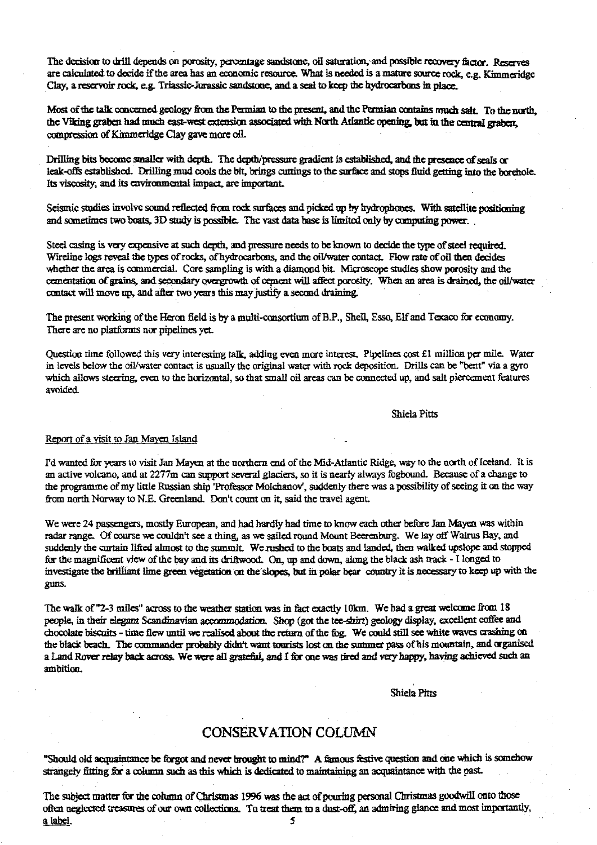The decision to drill depends on porosity, percentage sandstone, oil saturation, and possible recovery factor. Reserves are calculated to decide if the area has an economic resource, What is needed is a mature source rock e.g. Kimmeridge Clay, a reservoir rock, eg. Triassic-Jurassic sandstone, and a seal to keep the hydrocarbons in place.

Most of the talk concerned. geology from the Permian to the present, and the Permian contains much *salt. To the north,* the Viking graben had much east-west extension associated with North Atlantic opening, but in the central graben, **compression of Khnmendge Clay gave** more oil-

Drilling bits become smaller with depth. The depth/pressure gradient is established, and the presence of seals or leak-offs established. Drilling mud cools the bit, brings cnttngs to the surface and stops fluid getting into the borehole. Its viscosity, and its environmental impact, are important.

Seismic studies involve sound reflected from rock surfaces and picked up by hydrophones. With satellite positioning and sometimes two boats, 3D study is possible. The vast data base is limited only by computing power...

Steel casing is very expensive at such depth, and pressure needs to be known to decide the type of steel required. Wireline logs reveal the types of rocks, of hydrocarbons, and the oil/water contact. Flow rate of oil then decides whether the area is commercial. Core sampling is with a diamond bit. Microscope studies show porosity and the cementation of grains, and secondary overgrowth of cement will affect porosity. When an area is drained, the oil/water contact will move up, and after two years this may justify a second draining.

The present working of the Heron field is by a multi-consortium of B.P., Shell, Esso, Elf and Texaco for economy. There are no platforms nor pipelines yet.

Question time followed this very interesting talk, adding even more interest. Pipelines cost £1 million per mile. Water in levels below the oil/water contact is usually the original water with rock deposition. Drills can be "bent" via a gyro which allows steering, even to the horizontal, so that small oil areas can be connected up, and salt piercement features avoided.

Shiela Pitts

# of a visit to Jan Mayen Island

I'd wanted for years to visit San Mayen at the northern end of the Mid-Atlantic Ridge, way to the north of Iceland It is an active volcano, and at 2277m can support several glaciers, so it is nearly always fogbound. Because of a change to the programme of my little Russian ship 'Professor Molchanov', suddenly there was a possibility of seeing it on the way from north Norway to N.E. Greenland. Don't count on it, said the travel agent.

We were 24 passengers, mostly European, and had hardly had time to know each other before Jan Mayen was within we were 24 passengers, mostry European, and nad hardly had time to know each other before Jan Mayell was with<br>radar range. Of course we couldn't see a thing, as we sailed round Mount Beerenburg. We lay off Walrus Bay, and suddenly the curtain lifted almost to the summit. We rushed to the boats and landed, then walked upslope and stopped for the magnificent view of the bay and its driftwood. On, up and down, along the black ash track  $\cdot$  I longed to investigate the brilliant lime green vegetation an the s1opcs but in polar hear country it is necessary to keep up with the g uns -

The walk of "2-3 miles" across to the weather station was in fact exactly 10km. We had a great welcome from 18 people, in their elegant Scandinavian accommodation. Shop (got the tee-shirt) geology display, excellent coffee and chocolate biscuits - time flew until we realised about the return of the fog. We could still see white waves crashing on the black beach. The commander probably didn't want tourists Iost on the simmer pass of his mountain, and organised a Land Rover relay back across. We were all grateful, and I for one was tired and very happy, having achieved such an ambition.

Shiela Pitts

## CONSERVATION COLUMN

"Should old acquaintance be forgot and never brought to. mind?" A famous festive question and one which is somehow str angely fitting far a column such as this which is dedicated to maintaining an acquaintance with the past.

The subject matter for the column of Christmas 1996 was the act of pouring personal Christmas goodwill onto those often neglected treasures of our own collections. To treat them to a dust-off, an admiring glance and most importantly, a label. 5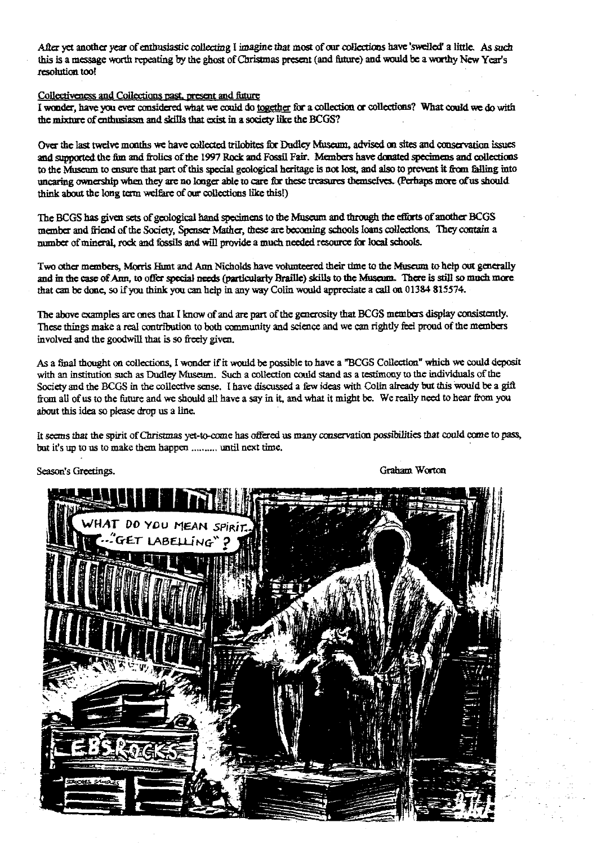After yet another year of enthusiastic collecting I imagine that most of our collections have 'swelled' a little. As such this is a message worth repeating by the ghost of Christmas present (and fitture) and would be a worthy New Year's resolution too!

Collectiveness and Collections past, present and future

I wonder, have you ever considered what we could do together for a collection or collections? What could we do with *the mire of eadausiasm and skills that exist in* a society like the BCGS?

Over the last twelve months we have collected trilobites for Dudley Museum, advised on sites and conservation issues and supported the fin and frolics of the 1997 Bock and Fossil Fair. Members have donated specimens and collections to the Museum to ensure that part of this special geological heritage is not lost, and also to prevent it from falling into uncaring ownership when they are no longer able to care for these treasures themselves. (Perhaps more of us should think about the long terra welfare of our collections like this!)

The BCGS has given sets of geological hand specimens to *the Museum* and through *the* efforts of another BOGS member and friend of the Society, Spenser Mather, these are becoming schools Ions collections. They contain a number of mineral, rock and fossils and will provide a much needed resource for Iocal schools.

Two other members, Morris Hunt and Ann Nicholds have volunteered their time to the Museum to help out generally and in the east of Ann, to offer special needs (particularly Braille) skills to the **Museum.** There is still so **much more.** that can be done, so if you think you can help in any way Colin would appreciate a call an 01384 815574.

The above examples are ones that I know of and are part of the generosity that BCGS members display consistently. These things make a real contribution to both community and science and we can rightly feel proud of the members involved and the goodwill that is so freely given.

As a final thought on collections, I wonder if it would be possible to have a "BCGS Collection" which we could deposit with an institution such as Dudley Museum. Such a collection could stand as a testimony to the individuals of the Society and the *BCGS in the* collective sense. I have discussed a few *ideas with Colin* already but this would be a gift from all of us to the future and we should all have a say in it, and what it *might be. We really* need to hear from you about this idea so please drop us a line.

It seems that the spirit of Christmas yet-to-come has offered us many conservation possibilities that could come to pass, but it's up to us to make them happen .......... until next time.